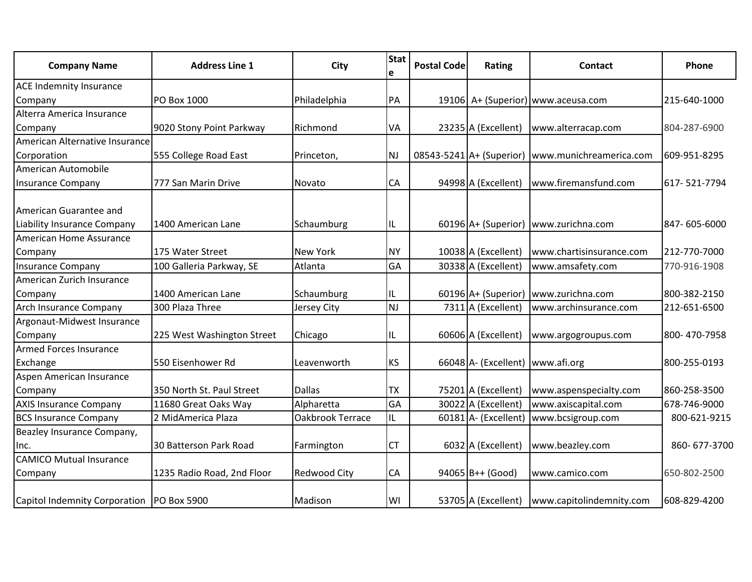| <b>Company Name</b>                                   | <b>Address Line 1</b>      | City                | <b>Stat</b><br>e | <b>Postal Code</b> | Rating                           | <b>Contact</b>                                   | Phone        |
|-------------------------------------------------------|----------------------------|---------------------|------------------|--------------------|----------------------------------|--------------------------------------------------|--------------|
| <b>ACE Indemnity Insurance</b>                        |                            |                     |                  |                    |                                  |                                                  |              |
| Company                                               | PO Box 1000                | Philadelphia        | <b>PA</b>        |                    |                                  | 19106 A+ (Superior) www.aceusa.com               | 215-640-1000 |
| Alterra America Insurance                             |                            |                     |                  |                    |                                  |                                                  |              |
| Company                                               | 9020 Stony Point Parkway   | Richmond            | VA               |                    | 23235 A (Excellent)              | www.alterracap.com                               | 804-287-6900 |
| American Alternative Insurance                        |                            |                     |                  |                    |                                  |                                                  |              |
| Corporation                                           | 555 College Road East      | Princeton,          | <b>NJ</b>        |                    |                                  | 08543-5241 A+ (Superior) www.munichreamerica.com | 609-951-8295 |
| American Automobile                                   |                            |                     |                  |                    |                                  |                                                  |              |
| <b>Insurance Company</b>                              | 777 San Marin Drive        | Novato              | CA               |                    | 94998 A (Excellent)              | www.firemansfund.com                             | 617-521-7794 |
| American Guarantee and<br>Liability Insurance Company | 1400 American Lane         | Schaumburg          | IIL              |                    |                                  | 60196 A+ (Superior) www.zurichna.com             | 847-605-6000 |
| American Home Assurance                               |                            |                     |                  |                    |                                  |                                                  |              |
| Company                                               | 175 Water Street           | New York            | <b>NY</b>        |                    | 10038 A (Excellent)              | www.chartisinsurance.com                         | 212-770-7000 |
| <b>Insurance Company</b>                              | 100 Galleria Parkway, SE   | Atlanta             | GA               |                    | 30338 A (Excellent)              | www.amsafety.com                                 | 770-916-1908 |
| American Zurich Insurance                             |                            |                     |                  |                    |                                  |                                                  |              |
| Company                                               | 1400 American Lane         | Schaumburg          | IL               |                    |                                  | 60196 A+ (Superior) www.zurichna.com             | 800-382-2150 |
| Arch Insurance Company                                | 300 Plaza Three            | Jersey City         | <b>NJ</b>        |                    | 7311 A (Excellent)               | www.archinsurance.com                            | 212-651-6500 |
| Argonaut-Midwest Insurance                            |                            |                     |                  |                    |                                  |                                                  |              |
| Company                                               | 225 West Washington Street | Chicago             | IL               |                    | 60606 A (Excellent)              | www.argogroupus.com                              | 800-470-7958 |
| Armed Forces Insurance                                |                            |                     |                  |                    |                                  |                                                  |              |
| Exchange                                              | 550 Eisenhower Rd          | Leavenworth         | <b>KS</b>        |                    | 66048 A- (Excellent) www.afi.org |                                                  | 800-255-0193 |
| Aspen American Insurance                              |                            |                     |                  |                    |                                  |                                                  |              |
| Company                                               | 350 North St. Paul Street  | <b>Dallas</b>       | <b>TX</b>        |                    | 75201 A (Excellent)              | www.aspenspecialty.com                           | 860-258-3500 |
| <b>AXIS Insurance Company</b>                         | 11680 Great Oaks Way       | Alpharetta          | <b>GA</b>        |                    | 30022 A (Excellent)              | www.axiscapital.com                              | 678-746-9000 |
| <b>BCS Insurance Company</b>                          | 2 MidAmerica Plaza         | Oakbrook Terrace    | IL               |                    | 60181 A- (Excellent)             | www.bcsigroup.com                                | 800-621-9215 |
| Beazley Insurance Company,                            |                            |                     |                  |                    |                                  |                                                  |              |
| Inc.                                                  | 30 Batterson Park Road     | Farmington          | <b>CT</b>        |                    | 6032 A (Excellent)               | www.beazley.com                                  | 860-677-3700 |
| <b>CAMICO Mutual Insurance</b>                        |                            |                     |                  |                    |                                  |                                                  |              |
| Company                                               | 1235 Radio Road, 2nd Floor | <b>Redwood City</b> | <b>CA</b>        |                    | 94065 B++ (Good)                 | www.camico.com                                   | 650-802-2500 |
| Capitol Indemnity Corporation   PO Box 5900           |                            | Madison             | WI               |                    |                                  | 53705 A (Excellent) www.capitolindemnity.com     | 608-829-4200 |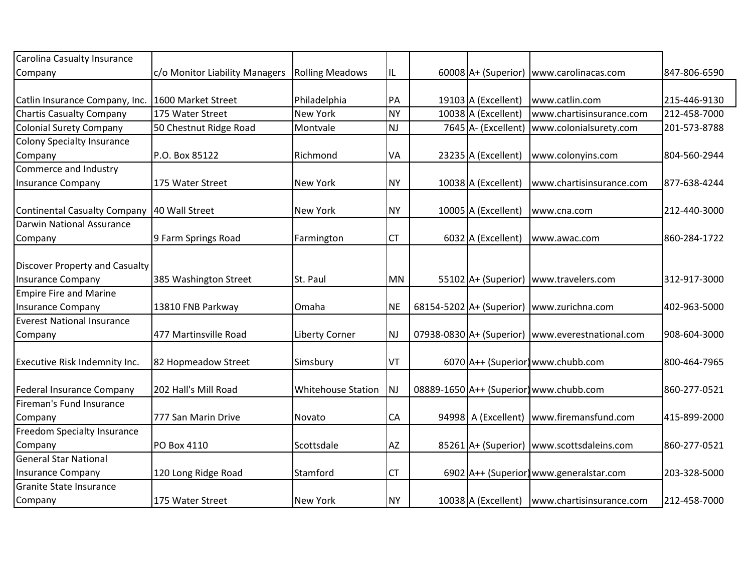| Carolina Casualty Insurance         |                                |                           |           |                          |                                                  |              |
|-------------------------------------|--------------------------------|---------------------------|-----------|--------------------------|--------------------------------------------------|--------------|
| Company                             | c/o Monitor Liability Managers | <b>Rolling Meadows</b>    | IL        |                          | 60008 A+ (Superior) www.carolinacas.com          | 847-806-6590 |
|                                     |                                |                           |           |                          |                                                  |              |
| Catlin Insurance Company, Inc.      | 1600 Market Street             | Philadelphia              | PA        | 19103 A (Excellent)      | www.catlin.com                                   | 215-446-9130 |
| <b>Chartis Casualty Company</b>     | 175 Water Street               | New York                  | <b>NY</b> | 10038 A (Excellent)      | www.chartisinsurance.com                         | 212-458-7000 |
| <b>Colonial Surety Company</b>      | 50 Chestnut Ridge Road         | Montvale                  | NJ        | 7645 A- (Excellent)      | www.colonialsurety.com                           | 201-573-8788 |
| <b>Colony Specialty Insurance</b>   |                                |                           |           |                          |                                                  |              |
| Company                             | P.O. Box 85122                 | Richmond                  | VA        | 23235 A (Excellent)      | www.colonyins.com                                | 804-560-2944 |
| Commerce and Industry               |                                |                           |           |                          |                                                  |              |
| <b>Insurance Company</b>            | 175 Water Street               | <b>New York</b>           | <b>NY</b> | 10038 A (Excellent)      | www.chartisinsurance.com                         | 877-638-4244 |
|                                     |                                |                           |           |                          |                                                  |              |
| <b>Continental Casualty Company</b> | 40 Wall Street                 | New York                  | <b>NY</b> | 10005 A (Excellent)      | www.cna.com                                      | 212-440-3000 |
| <b>Darwin National Assurance</b>    |                                |                           |           |                          |                                                  |              |
| Company                             | 9 Farm Springs Road            | Farmington                | <b>CT</b> | 6032 A (Excellent)       | www.awac.com                                     | 860-284-1722 |
|                                     |                                |                           |           |                          |                                                  |              |
| Discover Property and Casualty      |                                |                           |           |                          |                                                  |              |
| <b>Insurance Company</b>            | 385 Washington Street          | St. Paul                  | <b>MN</b> |                          | 55102 A+ (Superior) www.travelers.com            | 312-917-3000 |
| <b>Empire Fire and Marine</b>       |                                |                           |           |                          |                                                  |              |
| <b>Insurance Company</b>            | 13810 FNB Parkway              | Omaha                     | <b>NE</b> | 68154-5202 A+ (Superior) | www.zurichna.com                                 | 402-963-5000 |
| <b>Everest National Insurance</b>   |                                |                           |           |                          |                                                  |              |
| Company                             | 477 Martinsville Road          | <b>Liberty Corner</b>     | <b>NJ</b> |                          | 07938-0830 A+ (Superior) www.everestnational.com | 908-604-3000 |
|                                     |                                |                           |           |                          |                                                  |              |
| Executive Risk Indemnity Inc.       | 82 Hopmeadow Street            | Simsbury                  | VT        |                          | 6070 A++ (Superior) www.chubb.com                | 800-464-7965 |
| <b>Federal Insurance Company</b>    | 202 Hall's Mill Road           | <b>Whitehouse Station</b> | NJ        |                          | 08889-1650 A++ (Superior) www.chubb.com          | 860-277-0521 |
| Fireman's Fund Insurance            |                                |                           |           |                          |                                                  |              |
| Company                             | 777 San Marin Drive            | Novato                    | <b>CA</b> | 94998 A (Excellent)      | www.firemansfund.com                             | 415-899-2000 |
| Freedom Specialty Insurance         |                                |                           |           |                          |                                                  |              |
| Company                             | PO Box 4110                    | Scottsdale                | <b>AZ</b> |                          | 85261 A+ (Superior) www.scottsdaleins.com        | 860-277-0521 |
| <b>General Star National</b>        |                                |                           |           |                          |                                                  |              |
| <b>Insurance Company</b>            | 120 Long Ridge Road            | Stamford                  | <b>CT</b> |                          | 6902 A++ (Superior) www.generalstar.com          | 203-328-5000 |
| <b>Granite State Insurance</b>      |                                |                           |           |                          |                                                  |              |
| Company                             | 175 Water Street               | <b>New York</b>           | <b>NY</b> |                          | 10038 A (Excellent) www.chartisinsurance.com     | 212-458-7000 |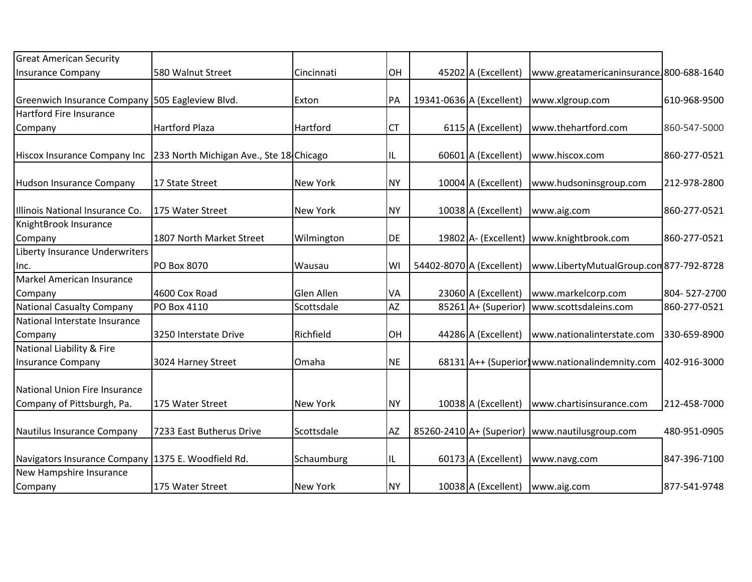| <b>Great American Security</b>                                     |                                         |                 |           |                          |                                                |              |
|--------------------------------------------------------------------|-----------------------------------------|-----------------|-----------|--------------------------|------------------------------------------------|--------------|
| <b>Insurance Company</b>                                           | 580 Walnut Street                       | Cincinnati      | OH        | 45202 A (Excellent)      | www.greatamericaninsurance.800-688-1640        |              |
| Greenwich Insurance Company 505 Eagleview Blvd.                    |                                         | Exton           | PA        | 19341-0636 A (Excellent) | www.xlgroup.com                                | 610-968-9500 |
| <b>Hartford Fire Insurance</b>                                     |                                         |                 |           |                          |                                                |              |
| Company                                                            | <b>Hartford Plaza</b>                   | Hartford        | <b>CT</b> | 6115 A (Excellent)       | www.thehartford.com                            | 860-547-5000 |
| Hiscox Insurance Company Inc                                       | 233 North Michigan Ave., Ste 18 Chicago |                 | IL        | 60601 A (Excellent)      | www.hiscox.com                                 | 860-277-0521 |
| Hudson Insurance Company                                           | 17 State Street                         | <b>New York</b> | <b>NY</b> | 10004 A (Excellent)      | www.hudsoninsgroup.com                         | 212-978-2800 |
| Illinois National Insurance Co.                                    | 175 Water Street                        | New York        | <b>NY</b> | 10038 A (Excellent)      | www.aig.com                                    | 860-277-0521 |
| KnightBrook Insurance<br>Company                                   | 1807 North Market Street                | Wilmington      | DE        | $19802$ A- (Excellent)   | www.knightbrook.com                            | 860-277-0521 |
| Liberty Insurance Underwriters                                     |                                         |                 |           |                          |                                                |              |
| Inc.                                                               | PO Box 8070                             | Wausau          | WI        | 54402-8070 A (Excellent) | www.LibertyMutualGroup.com877-792-8728         |              |
| Markel American Insurance                                          |                                         |                 |           |                          |                                                |              |
| Company                                                            | 4600 Cox Road                           | Glen Allen      | VA        | 23060 A (Excellent)      | www.markelcorp.com                             | 804-527-2700 |
| <b>National Casualty Company</b>                                   | PO Box 4110                             | Scottsdale      | AZ        | 85261 A+ (Superior)      | www.scottsdaleins.com                          | 860-277-0521 |
| National Interstate Insurance                                      |                                         |                 |           |                          |                                                |              |
| Company                                                            | 3250 Interstate Drive                   | Richfield       | OH        | 44286 A (Excellent)      | www.nationalinterstate.com                     | 330-659-8900 |
| National Liability & Fire                                          |                                         |                 |           |                          |                                                |              |
| <b>Insurance Company</b>                                           | 3024 Harney Street                      | Omaha           | <b>NE</b> |                          | 68131 A++ (Superior) www.nationalindemnity.com | 402-916-3000 |
| <b>National Union Fire Insurance</b><br>Company of Pittsburgh, Pa. | 175 Water Street                        | <b>New York</b> | <b>NY</b> | 10038 A (Excellent)      | www.chartisinsurance.com                       | 212-458-7000 |
|                                                                    |                                         |                 |           |                          |                                                |              |
| Nautilus Insurance Company                                         | 7233 East Butherus Drive                | Scottsdale      | AZ        | 85260-2410 A+ (Superior) | www.nautilusgroup.com                          | 480-951-0905 |
| Navigators Insurance Company 1375 E. Woodfield Rd.                 |                                         | Schaumburg      | IL        | 60173 A (Excellent)      | www.navg.com                                   | 847-396-7100 |
| New Hampshire Insurance                                            |                                         |                 |           |                          |                                                |              |
| Company                                                            | 175 Water Street                        | <b>New York</b> | INY.      | $10038$ A (Excellent)    | www.aig.com                                    | 877-541-9748 |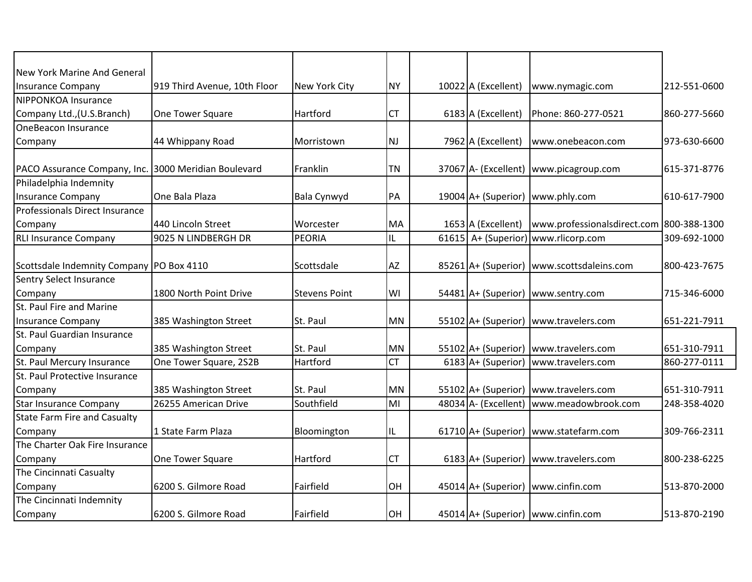| <b>New York Marine And General</b>         |                              |                      |           |                        |                                           |              |
|--------------------------------------------|------------------------------|----------------------|-----------|------------------------|-------------------------------------------|--------------|
| <b>Insurance Company</b>                   | 919 Third Avenue, 10th Floor | New York City        | <b>NY</b> | $10022$ A (Excellent)  | www.nymagic.com                           | 212-551-0600 |
| <b>NIPPONKOA Insurance</b>                 |                              |                      |           |                        |                                           |              |
| Company Ltd., (U.S.Branch)                 | One Tower Square             | Hartford             | <b>CT</b> | 6183 A (Excellent)     | Phone: 860-277-0521                       | 860-277-5660 |
| <b>OneBeacon Insurance</b>                 |                              |                      |           |                        |                                           |              |
| Company                                    | 44 Whippany Road             | Morristown           | <b>NJ</b> | 7962 A (Excellent)     | www.onebeacon.com                         | 973-630-6600 |
| PACO Assurance Company, Inc.               | 3000 Meridian Boulevard      | Franklin             | <b>TN</b> |                        | 37067 A- (Excellent) www.picagroup.com    | 615-371-8776 |
| Philadelphia Indemnity                     |                              |                      |           |                        |                                           |              |
| <b>Insurance Company</b>                   | One Bala Plaza               | Bala Cynwyd          | PA        |                        | 19004 A+ (Superior) www.phly.com          | 610-617-7900 |
| Professionals Direct Insurance             |                              |                      |           |                        |                                           |              |
| Company                                    | 440 Lincoln Street           | Worcester            | <b>MA</b> | $1653$ A (Excellent)   | www.professionalsdirect.com 800-388-1300  |              |
| <b>RLI Insurance Company</b>               | 9025 N LINDBERGH DR          | <b>PEORIA</b>        | IL        |                        | 61615 A+ (Superior) www.rlicorp.com       | 309-692-1000 |
|                                            |                              |                      |           |                        |                                           |              |
| Scottsdale Indemnity Company   PO Box 4110 |                              | Scottsdale           | <b>AZ</b> |                        | 85261 A+ (Superior) www.scottsdaleins.com | 800-423-7675 |
| Sentry Select Insurance                    |                              |                      |           |                        |                                           |              |
| Company                                    | 1800 North Point Drive       | <b>Stevens Point</b> | WI        |                        | 54481 A+ (Superior) www.sentry.com        | 715-346-6000 |
| St. Paul Fire and Marine                   |                              |                      |           |                        |                                           |              |
| <b>Insurance Company</b>                   | 385 Washington Street        | St. Paul             | <b>MN</b> |                        | 55102 A+ (Superior) www.travelers.com     | 651-221-7911 |
| St. Paul Guardian Insurance                |                              |                      |           |                        |                                           |              |
| Company                                    | 385 Washington Street        | St. Paul             | <b>MN</b> | $55102$ A+ (Superior)  | www.travelers.com                         | 651-310-7911 |
| St. Paul Mercury Insurance                 | One Tower Square, 2S2B       | Hartford             | <b>CT</b> | $6183$ A+ (Superior)   | www.travelers.com                         | 860-277-0111 |
| St. Paul Protective Insurance              |                              |                      |           |                        |                                           |              |
| Company                                    | 385 Washington Street        | St. Paul             | <b>MN</b> |                        | 55102 A+ (Superior) www.travelers.com     | 651-310-7911 |
| <b>Star Insurance Company</b>              | 26255 American Drive         | Southfield           | MI        | $48034$ A- (Excellent) | www.meadowbrook.com                       | 248-358-4020 |
| <b>State Farm Fire and Casualty</b>        |                              |                      |           |                        |                                           |              |
| Company                                    | 1 State Farm Plaza           | Bloomington          | IL        |                        | 61710 A+ (Superior) www.statefarm.com     | 309-766-2311 |
| The Charter Oak Fire Insurance             |                              |                      |           |                        |                                           |              |
| Company                                    | One Tower Square             | Hartford             | СT        |                        | 6183 A+ (Superior) www.travelers.com      | 800-238-6225 |
| The Cincinnati Casualty                    |                              |                      |           |                        |                                           |              |
| Company                                    | 6200 S. Gilmore Road         | Fairfield            | OH        |                        | 45014 A+ (Superior) www.cinfin.com        | 513-870-2000 |
| The Cincinnati Indemnity                   |                              |                      |           |                        |                                           |              |
| Company                                    | 6200 S. Gilmore Road         | Fairfield            | <b>OH</b> |                        | 45014 A+ (Superior) www.cinfin.com        | 513-870-2190 |
|                                            |                              |                      |           |                        |                                           |              |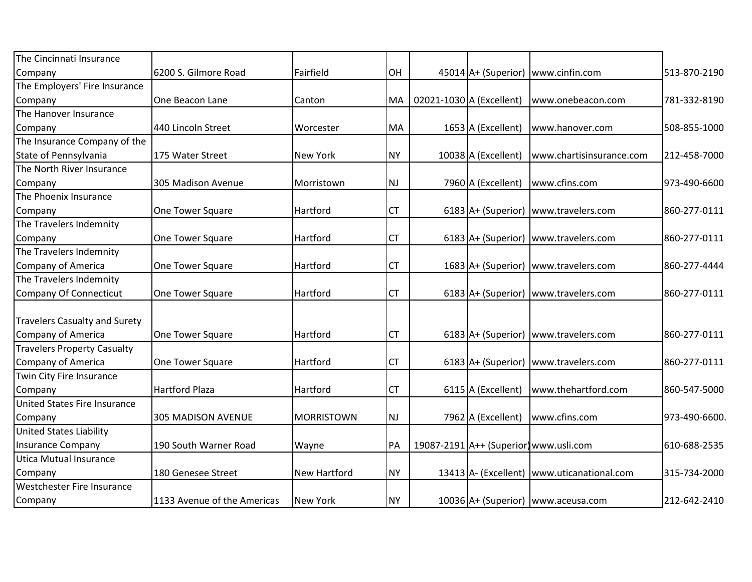| The Cincinnati Insurance             |                             |                   |           |                          |                                            |               |
|--------------------------------------|-----------------------------|-------------------|-----------|--------------------------|--------------------------------------------|---------------|
| Company                              | 6200 S. Gilmore Road        | Fairfield         | OH        | $45014$ A+ (Superior)    | www.cinfin.com                             | 513-870-2190  |
| The Employers' Fire Insurance        |                             |                   |           |                          |                                            |               |
| Company                              | One Beacon Lane             | Canton            | MA        | 02021-1030 A (Excellent) | www.onebeacon.com                          | 781-332-8190  |
| The Hanover Insurance                |                             |                   |           |                          |                                            |               |
| Company                              | 440 Lincoln Street          | Worcester         | MA        | 1653 A (Excellent)       | www.hanover.com                            | 508-855-1000  |
| The Insurance Company of the         |                             |                   |           |                          |                                            |               |
| State of Pennsylvania                | 175 Water Street            | New York          | <b>NY</b> | 10038 A (Excellent)      | www.chartisinsurance.com                   | 212-458-7000  |
| The North River Insurance            |                             |                   |           |                          |                                            |               |
| Company                              | 305 Madison Avenue          | Morristown        | <b>NJ</b> | 7960 A (Excellent)       | www.cfins.com                              | 973-490-6600  |
| The Phoenix Insurance                |                             |                   |           |                          |                                            |               |
| Company                              | One Tower Square            | Hartford          | <b>CT</b> | 6183 A+ (Superior)       | www.travelers.com                          | 860-277-0111  |
| The Travelers Indemnity              |                             |                   |           |                          |                                            |               |
| Company                              | One Tower Square            | Hartford          | <b>CT</b> |                          | 6183 A+ (Superior)   www.travelers.com     | 860-277-0111  |
| The Travelers Indemnity              |                             |                   |           |                          |                                            |               |
| <b>Company of America</b>            | <b>One Tower Square</b>     | Hartford          | <b>CT</b> |                          | 1683 A+ (Superior) www.travelers.com       | 860-277-4444  |
| The Travelers Indemnity              |                             |                   |           |                          |                                            |               |
| <b>Company Of Connecticut</b>        | <b>One Tower Square</b>     | Hartford          | <b>CT</b> |                          | 6183 A+ (Superior) www.travelers.com       | 860-277-0111  |
|                                      |                             |                   |           |                          |                                            |               |
| <b>Travelers Casualty and Surety</b> |                             |                   |           |                          |                                            |               |
| <b>Company of America</b>            | One Tower Square            | Hartford          | <b>CT</b> |                          | 6183 A+ (Superior) www.travelers.com       | 860-277-0111  |
| <b>Travelers Property Casualty</b>   |                             |                   |           |                          |                                            |               |
| <b>Company of America</b>            | One Tower Square            | Hartford          | CT        |                          | 6183 A+ (Superior) www.travelers.com       | 860-277-0111  |
| Twin City Fire Insurance             |                             |                   |           |                          |                                            |               |
| Company                              | Hartford Plaza              | Hartford          | <b>CT</b> | 6115 A (Excellent)       | www.thehartford.com                        | 860-547-5000  |
| United States Fire Insurance         |                             |                   |           |                          |                                            |               |
| Company                              | <b>305 MADISON AVENUE</b>   | <b>MORRISTOWN</b> | <b>NJ</b> | 7962 A (Excellent)       | www.cfins.com                              | 973-490-6600. |
| <b>United States Liability</b>       |                             |                   |           |                          |                                            |               |
| <b>Insurance Company</b>             | 190 South Warner Road       | Wayne             | PA        |                          | 19087-2191 A++ (Superior) www.usli.com     | 610-688-2535  |
| <b>Utica Mutual Insurance</b>        |                             |                   |           |                          |                                            |               |
| Company                              | 180 Genesee Street          | New Hartford      | <b>NY</b> |                          | 13413 A- (Excellent) www.uticanational.com | 315-734-2000  |
| Westchester Fire Insurance           |                             |                   |           |                          |                                            |               |
| Company                              | 1133 Avenue of the Americas | <b>New York</b>   | <b>NY</b> |                          | 10036 A+ (Superior)   www.aceusa.com       | 212-642-2410  |